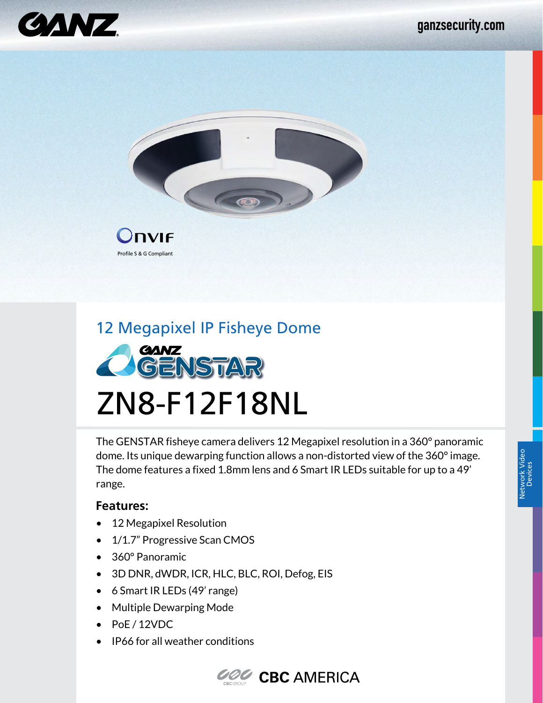



# 12 Megapixel IP Fisheye Dome **OGENSTAR** ZN8-F12F18NL

The GENSTAR fisheye camera delivers 12 Megapixel resolution in a 360° panoramic dome. Its unique dewarping function allows a non-distorted view of the 360° image. The dome features a fixed 1.8mm lens and 6 Smart IR LEDs suitable for up to a 49' range.

### **Features:**

- 12 Megapixel Resolution
- 1/1.7" Progressive Scan CMOS
- 360° Panoramic

Profile S & G Compliant

- 3D DNR, dWDR, ICR, HLC, BLC, ROI, Defog, EIS
- 6 Smart IR LEDs (49' range)
- Multiple Dewarping Mode
- PoE / 12VDC
- IP66 for all weather conditions